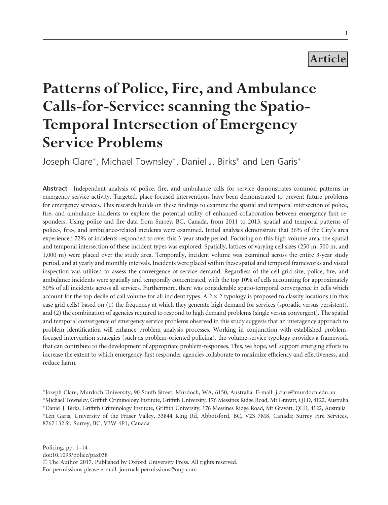## Article

# Patterns of Police, Fire, and Ambulance Calls-for-Service: scanning the Spatio-Temporal Intersection of Emergency Service Problems

Joseph Clare\*, Michael Townsley\*, Daniel J. Birks\* and Len Garis\*

Abstract Independent analysis of police, fire, and ambulance calls for service demonstrates common patterns in emergency service activity. Targeted, place-focused interventions have been demonstrated to prevent future problems for emergency services. This research builds on these findings to examine the spatial and temporal intersection of police, fire, and ambulance incidents to explore the potential utility of enhanced collaboration between emergency-first responders. Using police and fire data from Surrey, BC, Canada, from 2011 to 2013, spatial and temporal patterns of police-, fire-, and ambulance-related incidents were examined. Initial analyses demonstrate that 36% of the City's area experienced 72% of incidents responded to over this 3-year study period. Focusing on this high-volume area, the spatial and temporal intersection of these incident types was explored. Spatially, lattices of varying cell sizes (250 m, 500 m, and 1,000 m) were placed over the study area. Temporally, incident volume was examined across the entire 3-year study period, and at yearly and monthly intervals. Incidents were placed within these spatial and temporal frameworks and visual inspection was utilized to assess the convergence of service demand. Regardless of the cell grid size, police, fire, and ambulance incidents were spatially and temporally concentrated, with the top 10% of cells accounting for approximately 50% of all incidents across all services. Furthermore, there was considerable spatio-temporal convergence in cells which account for the top decile of call volume for all incident types. A  $2\times 2$  typology is proposed to classify locations (in this case grid cells) based on (1) the frequency at which they generate high demand for services (sporadic versus persistent), and (2) the combination of agencies required to respond to high demand problems (single versus convergent). The spatial and temporal convergence of emergency service problems observed in this study suggests that an interagency approach to problem identification will enhance problem analysis processes. Working in conjunction with established problemfocused intervention strategies (such as problem-oriented policing), the volume-service typology provides a framework that can contribute to the development of appropriate problem-responses. This, we hope, will support emerging efforts to increase the extent to which emergency-first responder agencies collaborate to maximize efficiency and effectiveness, and reduce harm.

<sup>-</sup>Joseph Clare, Murdoch University, 90 South Street, Murdoch, WA, 6150, Australia. E-mail: j.clare@murdoch.edu.au -Michael Townsley, Griffith Criminology Institute, Griffith University, 176 Messines Ridge Road, Mt Gravatt, QLD, 4122, Australia -Daniel J. Birks, Griffith Criminology Institute, Griffith University, 176 Messines Ridge Road, Mt Gravatt, QLD, 4122, Australia -Len Garis, University of the Fraser Valley, 33844 King Rd, Abbotsford, BC, V2S 7M8, Canada; Surrey Fire Services, 8767 132 St, Surrey, BC, V3W 4P1, Canada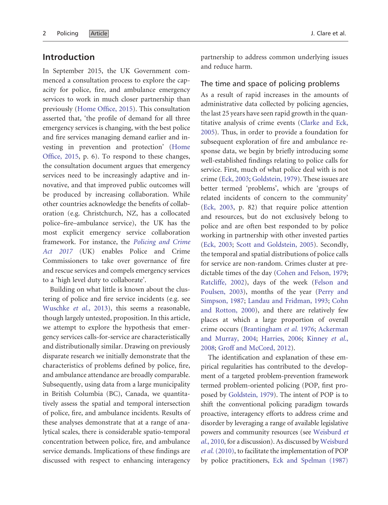## Introduction

In September 2015, the UK Government commenced a consultation process to explore the capacity for police, fire, and ambulance emergency services to work in much closer partnership than previously ([Home Office, 2015](#page-13-0)). This consultation asserted that, 'the profile of demand for all three emergency services is changing, with the best police and fire services managing demand earlier and investing in prevention and protection' [\(Home](#page-13-0) [Office, 2015,](#page-13-0) p. 6). To respond to these changes, the consultation document argues that emergency services need to be increasingly adaptive and innovative, and that improved public outcomes will be produced by increasing collaboration. While other countries acknowledge the benefits of collaboration (e.g. Christchurch, NZ, has a collocated police–fire–ambulance service), the UK has the most explicit emergency service collaboration framework. For instance, the [Policing and Crime](#page-12-0) [Act 2017](#page-12-0) (UK) enables Police and Crime Commissioners to take over governance of fire and rescue services and compels emergency services to a 'high level duty to collaborate'.

Building on what little is known about the clustering of police and fire service incidents (e.g. see [Wuschke](#page-13-0) et al., 2013), this seems a reasonable, though largely untested, proposition. In this article, we attempt to explore the hypothesis that emergency services calls-for-service are characteristically and distributionally similar. Drawing on previously disparate research we initially demonstrate that the characteristics of problems defined by police, fire, and ambulance attendance are broadly comparable. Subsequently, using data from a large municipality in British Columbia (BC), Canada, we quantitatively assess the spatial and temporal intersection of police, fire, and ambulance incidents. Results of these analyses demonstrate that at a range of analytical scales, there is considerable spatio-temporal concentration between police, fire, and ambulance service demands. Implications of these findings are discussed with respect to enhancing interagency partnership to address common underlying issues and reduce harm.

#### The time and space of policing problems

As a result of rapid increases in the amounts of administrative data collected by policing agencies, the last 25 years have seen rapid growth in the quantitative analysis of crime events [\(Clarke and Eck,](#page-11-0) [2005](#page-11-0)). Thus, in order to provide a foundation for subsequent exploration of fire and ambulance response data, we begin by briefly introducing some well-established findings relating to police calls for service. First, much of what police deal with is not crime ([Eck, 2003](#page-12-0); [Goldstein, 1979\)](#page-12-0). These issues are better termed 'problems', which are 'groups of related incidents of concern to the community' [\(Eck, 2003](#page-12-0), p. 82) that require police attention and resources, but do not exclusively belong to police and are often best responded to by police working in partnership with other invested parties [\(Eck, 2003;](#page-12-0) [Scott and Goldstein, 2005](#page-13-0)). Secondly, the temporal and spatial distributions of police calls for service are non-random. Crimes cluster at predictable times of the day ([Cohen and Felson, 1979;](#page-11-0) [Ratcliffe, 2002\)](#page-12-0), days of the week [\(Felson and](#page-12-0) [Poulsen, 2003\)](#page-12-0), months of the year [\(Perry and](#page-12-0) [Simpson, 1987](#page-12-0); [Landau and Fridman, 1993](#page-12-0); [Cohn](#page-11-0) [and Rotton, 2000](#page-11-0)), and there are relatively few places at which a large proportion of overall crime occurs [\(Brantingham](#page-11-0) et al. 1976; [Ackerman](#page-11-0) [and Murray, 2004;](#page-11-0) [Harries, 2006;](#page-12-0) [Kinney](#page-12-0) et al., [2008](#page-12-0); [Groff and McCord, 2012\)](#page-12-0).

The identification and explanation of these empirical regularities has contributed to the development of a targeted problem-prevention framework termed problem-oriented policing (POP, first proposed by [Goldstein, 1979\)](#page-12-0). The intent of POP is to shift the conventional policing paradigm towards proactive, interagency efforts to address crime and disorder by leveraging a range of available legislative powers and community resources (see [Weisburd](#page-13-0) et al.[, 2010,](#page-13-0) for a discussion). As discussed by [Weisburd](#page-13-0) et al. [\(2010\)](#page-13-0), to facilitate the implementation of POP by police practitioners, [Eck and Spelman \(1987\)](#page-12-0)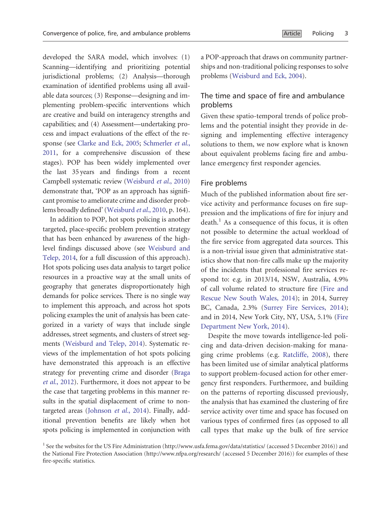developed the SARA model, which involves: (1) Scanning—identifying and prioritizing potential jurisdictional problems; (2) Analysis—thorough examination of identified problems using all available data sources; (3) Response—designing and implementing problem-specific interventions which are creative and build on interagency strengths and capabilities; and (4) Assessment—undertaking process and impact evaluations of the effect of the response (see [Clarke and Eck, 2005](#page-11-0); [Schmerler](#page-13-0) et al., [2011,](#page-13-0) for a comprehensive discussion of these stages). POP has been widely implemented over the last 35 years and findings from a recent Campbell systematic review ([Weisburd](#page-13-0) et al., 2010) demonstrate that, 'POP as an approach has significant promise to ameliorate crime and disorder problems broadly defined' ([Weisburd](#page-13-0) et al., 2010, p. 164).

In addition to POP, hot spots policing is another targeted, place-specific problem prevention strategy that has been enhanced by awareness of the highlevel findings discussed above (see [Weisburd and](#page-13-0) [Telep, 2014,](#page-13-0) for a full discussion of this approach). Hot spots policing uses data analysis to target police resources in a proactive way at the small units of geography that generates disproportionately high demands for police services. There is no single way to implement this approach, and across hot spots policing examples the unit of analysis has been categorized in a variety of ways that include single addresses, street segments, and clusters of street segments [\(Weisburd and Telep, 2014\)](#page-13-0). Systematic reviews of the implementation of hot spots policing have demonstrated this approach is an effective strategy for preventing crime and disorder [\(Braga](#page-11-0) et al.[, 2012](#page-11-0)). Furthermore, it does not appear to be the case that targeting problems in this manner results in the spatial displacement of crime to non-targeted areas [\(Johnson](#page-12-0) et al., 2014). Finally, additional prevention benefits are likely when hot spots policing is implemented in conjunction with

a POP-approach that draws on community partnerships and non-traditional policing responses to solve problems ([Weisburd and Eck, 2004](#page-13-0)).

### The time and space of fire and ambulance problems

Given these spatio-temporal trends of police problems and the potential insight they provide in designing and implementing effective interagency solutions to them, we now explore what is known about equivalent problems facing fire and ambulance emergency first responder agencies.

#### Fire problems

Much of the published information about fire service activity and performance focuses on fire suppression and the implications of fire for injury and  $death<sup>1</sup>$  As a consequence of this focus, it is often not possible to determine the actual workload of the fire service from aggregated data sources. This is a non-trivial issue given that administrative statistics show that non-fire calls make up the majority of the incidents that professional fire services respond to: e.g. in 2013/14, NSW, Australia, 4.9% of call volume related to structure fire [\(Fire and](#page-12-0) [Rescue New South Wales, 2014\)](#page-12-0); in 2014, Surrey BC, Canada, 2.3% ([Surrey Fire Services, 2014\)](#page-13-0); and in 2014, New York City, NY, USA, 5.1% [\(Fire](#page-12-0) [Department New York, 2014\)](#page-12-0).

Despite the move towards intelligence-led policing and data-driven decision-making for managing crime problems (e.g. [Ratcliffe, 2008\)](#page-12-0), there has been limited use of similar analytical platforms to support problem-focused action for other emergency first responders. Furthermore, and building on the patterns of reporting discussed previously, the analysis that has examined the clustering of fire service activity over time and space has focused on various types of confirmed fires (as opposed to all call types that make up the bulk of fire service

<sup>&</sup>lt;sup>1</sup> See the websites for the US Fire Administration [\(http://www.usfa.fema.gov/data/statistics/](http://www.usfa.fema.gov/data/statistics/) (accessed 5 December 2016)) and the National Fire Protection Association [\(http://www.nfpa.org/research/](http://www.nfpa.org/research) (accessed 5 December 2016)) for examples of these fire-specific statistics.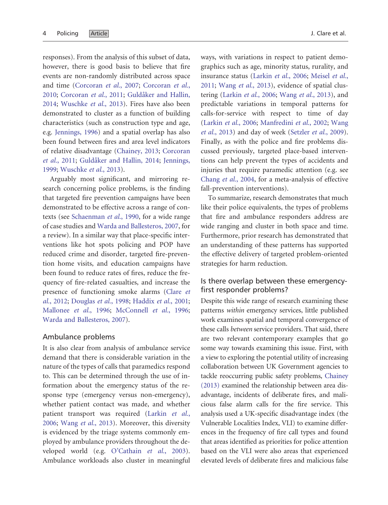responses). From the analysis of this subset of data, however, there is good basis to believe that fire events are non-randomly distributed across space and time ([Corcoran](#page-12-0) et al., 2007; [Corcoran](#page-12-0) et al., [2010](#page-12-0); [Corcoran](#page-12-0) et al., 2011; Guldåker and Hallin, [2014](#page-12-0); [Wuschke](#page-13-0) et al., 2013). Fires have also been demonstrated to cluster as a function of building characteristics (such as construction type and age, e.g. [Jennings, 1996](#page-12-0)) and a spatial overlap has also been found between fires and area level indicators of relative disadvantage [\(Chainey, 2013;](#page-11-0) [Corcoran](#page-12-0) et al.[, 2011](#page-12-0); Guldåker and Hallin, 2014; [Jennings,](#page-12-0) [1999](#page-12-0); [Wuschke](#page-13-0) et al., 2013).

Arguably most significant, and mirroring research concerning police problems, is the finding that targeted fire prevention campaigns have been demonstrated to be effective across a range of contexts (see [Schaenman](#page-13-0) et al., 1990, for a wide range of case studies and [Warda and Ballesteros, 2007](#page-13-0), for a review). In a similar way that place-specific interventions like hot spots policing and POP have reduced crime and disorder, targeted fire-prevention home visits, and education campaigns have been found to reduce rates of fires, reduce the frequency of fire-related casualties, and increase the presence of functioning smoke alarms ([Clare](#page-11-0) et al.[, 2012](#page-11-0); [Douglas](#page-12-0) et al., 1998; [Haddix](#page-12-0) et al., 2001; [Mallonee](#page-12-0) et al., 1996; [McConnell](#page-12-0) et al., 1996; [Warda and Ballesteros, 2007](#page-13-0)).

#### Ambulance problems

It is also clear from analysis of ambulance service demand that there is considerable variation in the nature of the types of calls that paramedics respond to. This can be determined through the use of information about the emergency status of the response type (emergency versus non-emergency), whether patient contact was made, and whether patient transport was required ([Larkin](#page-12-0) et al., [2006](#page-12-0); Wang et al.[, 2013\)](#page-13-0). Moreover, this diversity is evidenced by the triage systems commonly employed by ambulance providers throughout the de-veloped world (e.g. [O'Cathain](#page-12-0) et al., 2003). Ambulance workloads also cluster in meaningful

ways, with variations in respect to patient demographics such as age, minority status, rurality, and insurance status ([Larkin](#page-12-0) et al., 2006; [Meisel](#page-12-0) et al., [2011](#page-12-0); Wang et al.[, 2013\)](#page-13-0), evidence of spatial clustering ([Larkin](#page-12-0) et al., 2006; Wang et al.[, 2013\)](#page-13-0), and predictable variations in temporal patterns for calls-for-service with respect to time of day [\(Larkin](#page-12-0) et al., 2006; [Manfredini](#page-12-0) et al., 2002; [Wang](#page-13-0) et al.[, 2013](#page-13-0)) and day of week [\(Setzler](#page-13-0) et al., 2009). Finally, as with the police and fire problems discussed previously, targeted place-based interventions can help prevent the types of accidents and injuries that require paramedic attention (e.g. see [Chang](#page-11-0) et al., 2004, for a meta-analysis of effective fall-prevention interventions).

To summarize, research demonstrates that much like their police equivalents, the types of problems that fire and ambulance responders address are wide ranging and cluster in both space and time. Furthermore, prior research has demonstrated that an understanding of these patterns has supported the effective delivery of targeted problem-oriented strategies for harm reduction.

## Is there overlap between these emergencyfirst responder problems?

Despite this wide range of research examining these patterns within emergency services, little published work examines spatial and temporal convergence of these calls between service providers. That said, there are two relevant contemporary examples that go some way towards examining this issue. First, with a view to exploring the potential utility of increasing collaboration between UK Government agencies to tackle reoccurring public safety problems, [Chainey](#page-11-0) [\(2013\)](#page-11-0) examined the relationship between area disadvantage, incidents of deliberate fires, and malicious false alarm calls for the fire service. This analysis used a UK-specific disadvantage index (the Vulnerable Localities Index, VLI) to examine differences in the frequency of fire call types and found that areas identified as priorities for police attention based on the VLI were also areas that experienced elevated levels of deliberate fires and malicious false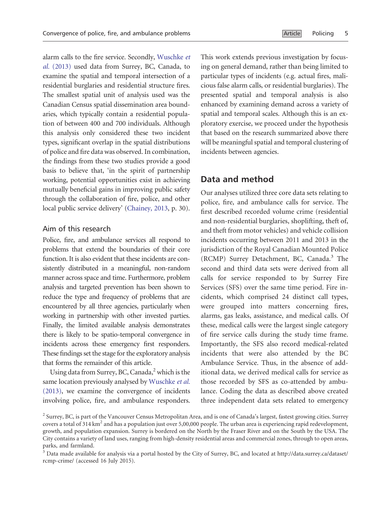alarm calls to the fire service. Secondly, [Wuschke](#page-13-0) et al. [\(2013\)](#page-13-0) used data from Surrey, BC, Canada, to examine the spatial and temporal intersection of a residential burglaries and residential structure fires. The smallest spatial unit of analysis used was the Canadian Census spatial dissemination area boundaries, which typically contain a residential population of between 400 and 700 individuals. Although this analysis only considered these two incident types, significant overlap in the spatial distributions of police and fire data was observed. In combination, the findings from these two studies provide a good basis to believe that, 'in the spirit of partnership working, potential opportunities exist in achieving mutually beneficial gains in improving public safety through the collaboration of fire, police, and other local public service delivery' ([Chainey, 2013,](#page-11-0) p. 30).

#### Aim of this research

Police, fire, and ambulance services all respond to problems that extend the boundaries of their core function. It is also evident that these incidents are consistently distributed in a meaningful, non-random manner across space and time. Furthermore, problem analysis and targeted prevention has been shown to reduce the type and frequency of problems that are encountered by all three agencies, particularly when working in partnership with other invested parties. Finally, the limited available analysis demonstrates there is likely to be spatio-temporal convergence in incidents across these emergency first responders. These findings set the stage for the exploratory analysis that forms the remainder of this article.

Using data from Surrey, BC, Canada, $<sup>2</sup>$  which is the</sup> same location previously analysed by [Wuschke](#page-13-0) et al. [\(2013\),](#page-13-0) we examine the convergence of incidents involving police, fire, and ambulance responders.

This work extends previous investigation by focusing on general demand, rather than being limited to particular types of incidents (e.g. actual fires, malicious false alarm calls, or residential burglaries). The presented spatial and temporal analysis is also enhanced by examining demand across a variety of spatial and temporal scales. Although this is an exploratory exercise, we proceed under the hypothesis that based on the research summarized above there will be meaningful spatial and temporal clustering of incidents between agencies.

## Data and method

Our analyses utilized three core data sets relating to police, fire, and ambulance calls for service. The first described recorded volume crime (residential and non-residential burglaries, shoplifting, theft of, and theft from motor vehicles) and vehicle collision incidents occurring between 2011 and 2013 in the jurisdiction of the Royal Canadian Mounted Police (RCMP) Surrey Detachment, BC, Canada.<sup>3</sup> The second and third data sets were derived from all calls for service responded to by Surrey Fire Services (SFS) over the same time period. Fire incidents, which comprised 24 distinct call types, were grouped into matters concerning fires, alarms, gas leaks, assistance, and medical calls. Of these, medical calls were the largest single category of fire service calls during the study time frame. Importantly, the SFS also record medical-related incidents that were also attended by the BC Ambulance Service. Thus, in the absence of additional data, we derived medical calls for service as those recorded by SFS as co-attended by ambulance. Coding the data as described above created three independent data sets related to emergency

<sup>&</sup>lt;sup>2</sup> Surrey, BC, is part of the Vancouver Census Metropolitan Area, and is one of Canada's largest, fastest growing cities. Surrey covers a total of 314  $km^2$  and has a population just over 5,00,000 people. The urban area is experiencing rapid redevelopment, growth, and population expansion. Surrey is bordered on the North by the Fraser River and on the South by the USA. The City contains a variety of land uses, ranging from high-density residential areas and commercial zones, through to open areas, parks, and farmland.

<sup>&</sup>lt;sup>3</sup> Data made available for analysis via a portal hosted by the City of Surrey, BC, and located at [http://data.surrey.ca/dataset/](http://data.surrey.ca/dataset/rcmp-crime/) [rcmp-crime/](http://data.surrey.ca/dataset/rcmp-crime/) (accessed 16 July 2015).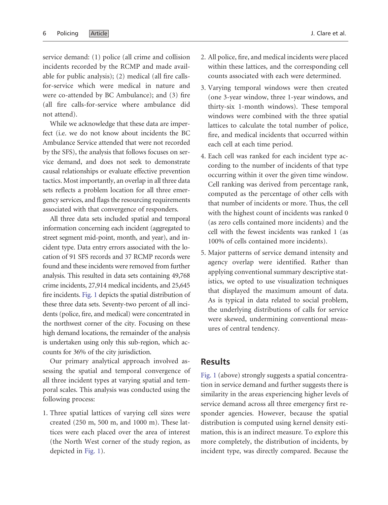service demand: (1) police (all crime and collision incidents recorded by the RCMP and made available for public analysis); (2) medical (all fire callsfor-service which were medical in nature and were co-attended by BC Ambulance); and (3) fire (all fire calls-for-service where ambulance did not attend).

While we acknowledge that these data are imperfect (i.e. we do not know about incidents the BC Ambulance Service attended that were not recorded by the SFS), the analysis that follows focuses on service demand, and does not seek to demonstrate causal relationships or evaluate effective prevention tactics. Most importantly, an overlap in all three data sets reflects a problem location for all three emergency services, and flags the resourcing requirements associated with that convergence of responders.

All three data sets included spatial and temporal information concerning each incident (aggregated to street segment mid-point, month, and year), and incident type. Data entry errors associated with the location of 91 SFS records and 37 RCMP records were found and these incidents were removed from further analysis. This resulted in data sets containing 49,768 crime incidents, 27,914 medical incidents, and 25,645 fire incidents. [Fig. 1](#page-6-0) depicts the spatial distribution of these three data sets. Seventy-two percent of all incidents (police, fire, and medical) were concentrated in the northwest corner of the city. Focusing on these high demand locations, the remainder of the analysis is undertaken using only this sub-region, which accounts for 36% of the city jurisdiction.

Our primary analytical approach involved assessing the spatial and temporal convergence of all three incident types at varying spatial and temporal scales. This analysis was conducted using the following process:

1. Three spatial lattices of varying cell sizes were created (250 m, 500 m, and 1000 m). These lattices were each placed over the area of interest (the North West corner of the study region, as depicted in [Fig. 1](#page-6-0)).

- 2. All police, fire, and medical incidents were placed within these lattices, and the corresponding cell counts associated with each were determined.
- 3. Varying temporal windows were then created (one 3-year window, three 1-year windows, and thirty-six 1-month windows). These temporal windows were combined with the three spatial lattices to calculate the total number of police, fire, and medical incidents that occurred within each cell at each time period.
- 4. Each cell was ranked for each incident type according to the number of incidents of that type occurring within it over the given time window. Cell ranking was derived from percentage rank, computed as the percentage of other cells with that number of incidents or more. Thus, the cell with the highest count of incidents was ranked 0 (as zero cells contained more incidents) and the cell with the fewest incidents was ranked 1 (as 100% of cells contained more incidents).
- 5. Major patterns of service demand intensity and agency overlap were identified. Rather than applying conventional summary descriptive statistics, we opted to use visualization techniques that displayed the maximum amount of data. As is typical in data related to social problem, the underlying distributions of calls for service were skewed, undermining conventional measures of central tendency.

#### Results

[Fig. 1](#page-6-0) (above) strongly suggests a spatial concentration in service demand and further suggests there is similarity in the areas experiencing higher levels of service demand across all three emergency first responder agencies. However, because the spatial distribution is computed using kernel density estimation, this is an indirect measure. To explore this more completely, the distribution of incidents, by incident type, was directly compared. Because the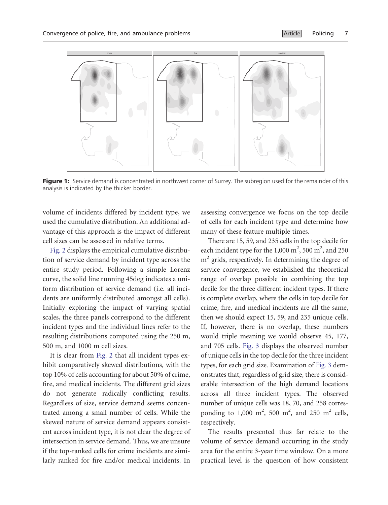<span id="page-6-0"></span>

Figure 1: Service demand is concentrated in northwest corner of Surrey. The subregion used for the remainder of this analysis is indicated by the thicker border.

volume of incidents differed by incident type, we used the cumulative distribution. An additional advantage of this approach is the impact of different cell sizes can be assessed in relative terms.

[Fig. 2](#page-7-0) displays the empirical cumulative distribution of service demand by incident type across the entire study period. Following a simple Lorenz curve, the solid line running 45deg indicates a uniform distribution of service demand (i.e. all incidents are uniformly distributed amongst all cells). Initially exploring the impact of varying spatial scales, the three panels correspond to the different incident types and the individual lines refer to the resulting distributions computed using the 250 m, 500 m, and 1000 m cell sizes.

It is clear from [Fig. 2](#page-7-0) that all incident types exhibit comparatively skewed distributions, with the top 10% of cells accounting for about 50% of crime, fire, and medical incidents. The different grid sizes do not generate radically conflicting results. Regardless of size, service demand seems concentrated among a small number of cells. While the skewed nature of service demand appears consistent across incident type, it is not clear the degree of intersection in service demand. Thus, we are unsure if the top-ranked cells for crime incidents are similarly ranked for fire and/or medical incidents. In

assessing convergence we focus on the top decile of cells for each incident type and determine how many of these feature multiple times.

There are 15, 59, and 235 cells in the top decile for each incident type for the 1,000  $m^2$ , 500  $m^2$ , and 250  $m<sup>2</sup>$  grids, respectively. In determining the degree of service convergence, we established the theoretical range of overlap possible in combining the top decile for the three different incident types. If there is complete overlap, where the cells in top decile for crime, fire, and medical incidents are all the same, then we should expect 15, 59, and 235 unique cells. If, however, there is no overlap, these numbers would triple meaning we would observe 45, 177, and 705 cells. [Fig. 3](#page-7-0) displays the observed number of unique cells in the top decile for the three incident types, for each grid size. Examination of [Fig. 3](#page-7-0) demonstrates that, regardless of grid size, there is considerable intersection of the high demand locations across all three incident types. The observed number of unique cells was 18, 70, and 258 corresponding to 1,000 m<sup>2</sup>, 500 m<sup>2</sup>, and 250 m<sup>2</sup> cells, respectively.

The results presented thus far relate to the volume of service demand occurring in the study area for the entire 3-year time window. On a more practical level is the question of how consistent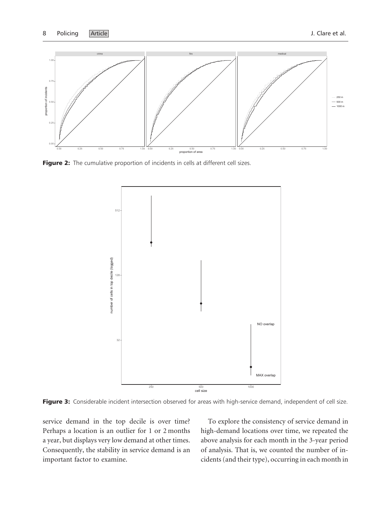<span id="page-7-0"></span>

Figure 2: The cumulative proportion of incidents in cells at different cell sizes.



Figure 3: Considerable incident intersection observed for areas with high-service demand, independent of cell size.

service demand in the top decile is over time? Perhaps a location is an outlier for 1 or 2 months a year, but displays very low demand at other times. Consequently, the stability in service demand is an important factor to examine.

To explore the consistency of service demand in high-demand locations over time, we repeated the above analysis for each month in the 3-year period of analysis. That is, we counted the number of incidents (and their type), occurring in each month in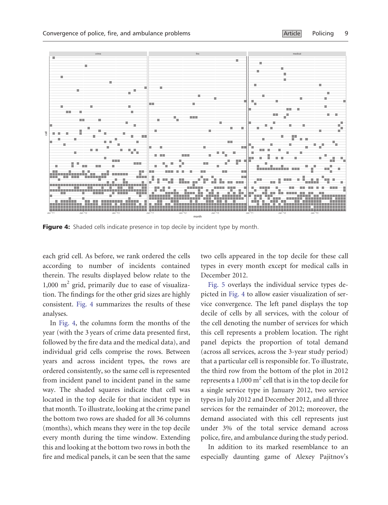

Figure 4: Shaded cells indicate presence in top decile by incident type by month.

each grid cell. As before, we rank ordered the cells according to number of incidents contained therein. The results displayed below relate to the  $1,000 \text{ m}^2$  grid, primarily due to ease of visualization. The findings for the other grid sizes are highly consistent. Fig. 4 summarizes the results of these analyses.

In Fig. 4, the columns form the months of the year (with the 3 years of crime data presented first, followed by the fire data and the medical data), and individual grid cells comprise the rows. Between years and across incident types, the rows are ordered consistently, so the same cell is represented from incident panel to incident panel in the same way. The shaded squares indicate that cell was located in the top decile for that incident type in that month. To illustrate, looking at the crime panel the bottom two rows are shaded for all 36 columns (months), which means they were in the top decile every month during the time window. Extending this and looking at the bottom two rows in both the fire and medical panels, it can be seen that the same

two cells appeared in the top decile for these call types in every month except for medical calls in December 2012.

[Fig. 5](#page-9-0) overlays the individual service types depicted in Fig. 4 to allow easier visualization of service convergence. The left panel displays the top decile of cells by all services, with the colour of the cell denoting the number of services for which this cell represents a problem location. The right panel depicts the proportion of total demand (across all services, across the 3-year study period) that a particular cell is responsible for. To illustrate, the third row from the bottom of the plot in 2012 represents a  $1,000 \text{ m}^2$  cell that is in the top decile for a single service type in January 2012, two service types in July 2012 and December 2012, and all three services for the remainder of 2012; moreover, the demand associated with this cell represents just under 3% of the total service demand across police, fire, and ambulance during the study period.

In addition to its marked resemblance to an especially daunting game of Alexey Pajitnov's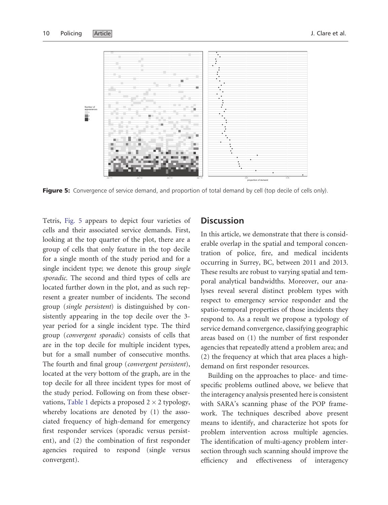<span id="page-9-0"></span>

Figure 5: Convergence of service demand, and proportion of total demand by cell (top decile of cells only).

Tetris, Fig. 5 appears to depict four varieties of cells and their associated service demands. First, looking at the top quarter of the plot, there are a group of cells that only feature in the top decile for a single month of the study period and for a single incident type; we denote this group single sporadic. The second and third types of cells are located further down in the plot, and as such represent a greater number of incidents. The second group (single persistent) is distinguished by consistently appearing in the top decile over the 3 year period for a single incident type. The third group (convergent sporadic) consists of cells that are in the top decile for multiple incident types, but for a small number of consecutive months. The fourth and final group (convergent persistent), located at the very bottom of the graph, are in the top decile for all three incident types for most of the study period. Following on from these obser-vations, [Table 1](#page-10-0) depicts a proposed 2  $\times$  2 typology, whereby locations are denoted by (1) the associated frequency of high-demand for emergency first responder services (sporadic versus persistent), and (2) the combination of first responder agencies required to respond (single versus convergent).

## **Discussion**

In this article, we demonstrate that there is considerable overlap in the spatial and temporal concentration of police, fire, and medical incidents occurring in Surrey, BC, between 2011 and 2013. These results are robust to varying spatial and temporal analytical bandwidths. Moreover, our analyses reveal several distinct problem types with respect to emergency service responder and the spatio-temporal properties of those incidents they respond to. As a result we propose a typology of service demand convergence, classifying geographic areas based on (1) the number of first responder agencies that repeatedly attend a problem area; and (2) the frequency at which that area places a highdemand on first responder resources.

Building on the approaches to place- and timespecific problems outlined above, we believe that the interagency analysis presented here is consistent with SARA's scanning phase of the POP framework. The techniques described above present means to identify, and characterize hot spots for problem intervention across multiple agencies. The identification of multi-agency problem intersection through such scanning should improve the efficiency and effectiveness of interagency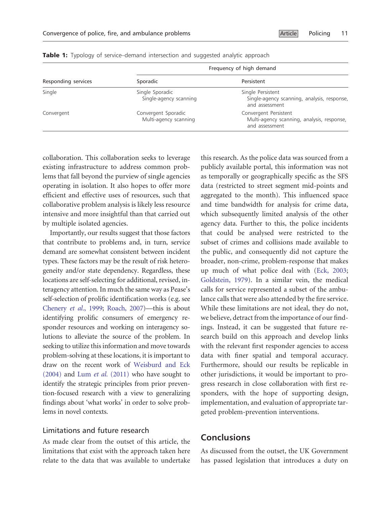| Responding services | Frequency of high demand                     |                                                                                       |
|---------------------|----------------------------------------------|---------------------------------------------------------------------------------------|
|                     | Sporadic                                     | Persistent                                                                            |
| Single              | Single Sporadic<br>Single-agency scanning    | Single Persistent<br>Single-agency scanning, analysis, response,<br>and assessment    |
| Convergent          | Convergent Sporadic<br>Multi-agency scanning | Convergent Persistent<br>Multi-agency scanning, analysis, response,<br>and assessment |

<span id="page-10-0"></span>**Table 1:** Typology of service–demand intersection and suggested analytic approach

collaboration. This collaboration seeks to leverage existing infrastructure to address common problems that fall beyond the purview of single agencies operating in isolation. It also hopes to offer more efficient and effective uses of resources, such that collaborative problem analysis is likely less resource intensive and more insightful than that carried out by multiple isolated agencies.

Importantly, our results suggest that those factors that contribute to problems and, in turn, service demand are somewhat consistent between incident types. These factors may be the result of risk heterogeneity and/or state dependency. Regardless, these locations are self-selecting for additional, revised, interagency attention. In much the same way as Pease's self-selection of prolific identification works (e.g. see [Chenery](#page-11-0) et al., 1999; [Roach, 2007\)](#page-12-0)—this is about identifying prolific consumers of emergency responder resources and working on interagency solutions to alleviate the source of the problem. In seeking to utilize this information and move towards problem-solving at these locations, it is important to draw on the recent work of [Weisburd and Eck](#page-13-0) [\(2004\)](#page-13-0) and Lum et al. [\(2011\)](#page-12-0) who have sought to identify the strategic principles from prior prevention-focused research with a view to generalizing findings about 'what works' in order to solve problems in novel contexts.

## Limitations and future research

As made clear from the outset of this article, the limitations that exist with the approach taken here relate to the data that was available to undertake this research. As the police data was sourced from a publicly available portal, this information was not as temporally or geographically specific as the SFS data (restricted to street segment mid-points and aggregated to the month). This influenced space and time bandwidth for analysis for crime data, which subsequently limited analysis of the other agency data. Further to this, the police incidents that could be analysed were restricted to the subset of crimes and collisions made available to the public, and consequently did not capture the broader, non-crime, problem-response that makes up much of what police deal with [\(Eck, 2003;](#page-12-0) [Goldstein, 1979](#page-12-0)). In a similar vein, the medical calls for service represented a subset of the ambulance calls that were also attended by the fire service. While these limitations are not ideal, they do not, we believe, detract from the importance of our findings. Instead, it can be suggested that future research build on this approach and develop links with the relevant first responder agencies to access data with finer spatial and temporal accuracy. Furthermore, should our results be replicable in other jurisdictions, it would be important to progress research in close collaboration with first responders, with the hope of supporting design, implementation, and evaluation of appropriate targeted problem-prevention interventions.

## Conclusions

As discussed from the outset, the UK Government has passed legislation that introduces a duty on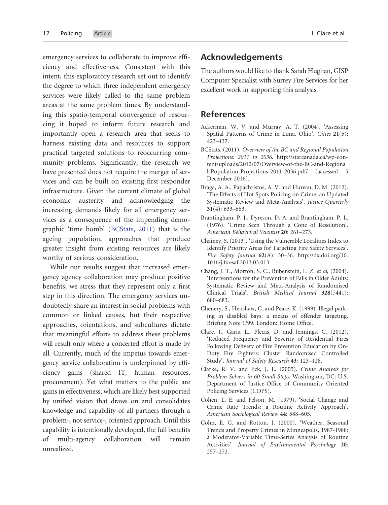<span id="page-11-0"></span>emergency services to collaborate to improve efficiency and effectiveness. Consistent with this intent, this exploratory research set out to identify the degree to which three independent emergency services were likely called to the same problem areas at the same problem times. By understanding this spatio-temporal convergence of resourcing it hoped to inform future research and importantly open a research area that seeks to harness existing data and resources to support practical targeted solutions to reoccurring community problems. Significantly, the research we have presented does not require the merger of services and can be built on existing first responder infrastructure. Given the current climate of global economic austerity and acknowledging the increasing demands likely for all emergency services as a consequence of the impending demographic 'time bomb' (BCStats, 2011) that is the ageing population, approaches that produce greater insight from existing resources are likely worthy of serious consideration.

While our results suggest that increased emergency agency collaboration may produce positive benefits, we stress that they represent only a first step in this direction. The emergency services undoubtedly share an interest in social problems with common or linked causes, but their respective approaches, orientations, and subcultures dictate that meaningful efforts to address these problems will result only where a concerted effort is made by all. Currently, much of the impetus towards emergency service collaboration is underpinned by efficiency gains (shared IT, human resources, procurement). Yet what matters to the public are gains in effectiveness, which are likely best supported by unified vision that draws on and consolidates knowledge and capability of all partners through a problem-, not service-, oriented approach. Until this capability is intentionally developed, the full benefits of multi-agency collaboration will remain unrealized.

## Acknowledgements

The authors would like to thank Sarah Hughan, GISP Computer Specialist with Surrey Fire Services for her excellent work in supporting this analysis.

## References

- Ackerman, W. V. and Murray, A. T. (2004). 'Assessing Spatial Patterns of Crime in Lima, Ohio'. Cities 21(5): 423–437.
- BCStats. (2011). Overview of the BC and Regional Population Projections: 2011 to 2036. [http://starcanada.ca/wp-con](http://starcanada.ca/wp-content/uploads/2012/07/Overview-of-the-BC-and-Regional-Population-Projections-2011-2036.pdf/)[tent/uploads/2012/07/Overview-of-the-BC-and-Regiona](http://starcanada.ca/wp-content/uploads/2012/07/Overview-of-the-BC-and-Regional-Population-Projections-2011-2036.pdf/) [l-Population-Projections-2011-2036.pdf/](http://starcanada.ca/wp-content/uploads/2012/07/Overview-of-the-BC-and-Regional-Population-Projections-2011-2036.pdf/) (accessed 5 December 2016).
- Braga, A. A., Papachristos, A. V. and Hureau, D. M. (2012). 'The Effects of Hot Spots Policing on Crime: an Updated Systematic Review and Meta-Analysis'. Justice Quarterly 31(4): 633–663.
- Brantingham, P. J., Dyreson, D. A. and Brantingham, P. L. (1976). 'Crime Seen Through a Cone of Resolution'. American Behavioral Scientist 20: 261–273.
- Chainey, S. (2013). 'Using the Vulnerable Localities Index to Identify Priority Areas for Targeting Fire Safety Services'. Fire Safety Journal 62(A): 30–36. [http://dx.doi.org/10.](http://dx.doi.org/10.1016/j.firesaf.2013.03.013) [1016/j.firesaf.2013.03.013](http://dx.doi.org/10.1016/j.firesaf.2013.03.013)
- Chang, J. T., Morton, S. C., Rubenstein, L. Z. et al, (2004). 'Interventions for the Prevention of Falls in Older Adults: Systematic Review and Meta-Analysis of Randomised Clinical Trials'. British Medical Journal 328(7441): 680–683.
- Chenery, S., Henshaw, C. and Pease, K. (1999). Illegal parking in disabled bays: a means of offender targeting. Briefing Note 1/99. London: Home Office.
- Clare, J., Garis, L., Plecas, D. and Jennings, C. (2012). 'Reduced Frequency and Severity of Residential Fires Following Delivery of Fire Prevention Education by On-Duty Fire Fighters: Cluster Randomised Controlled Study'. Journal of Safety Research 43: 123–128.
- Clarke, R. V. and Eck, J. E. (2005). Crime Analysis for Problem Solvers in 60 Small Steps. Washington, DC: U.S. Department of Justice-Office of Community Oriented Policing Services (COPS).
- Cohen, L. E. and Felson, M. (1979). 'Social Change and Crime Rate Trends: a Routine Activity Approach'. American Sociological Review 44: 588–605.
- Cohn, E. G. and Rotton, J. (2000). 'Weather, Seasonal Trends and Property Crimes in Minneapolis, 1987-1988: a Moderator-Variable Time-Series Analysis of Routine Activities'. Journal of Environmental Psychology 20: 257–272.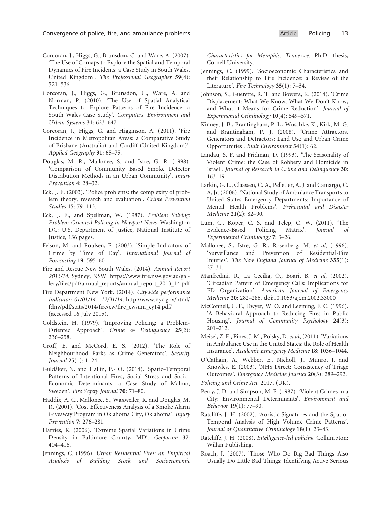- <span id="page-12-0"></span>Corcoran, J., Higgs, G., Brunsdon, C. and Ware, A. (2007). 'The Use of Comaps to Explore the Spatial and Temporal Dynamics of Fire Incidents: a Case Study in South Wales, United Kingdom'. The Professional Geographer 59(4): 521–536.
- Corcoran, J., Higgs, G., Brunsdon, C., Ware, A. and Norman, P. (2010). 'The Use of Spatial Analytical Techniques to Explore Patterns of Fire Incidence: a South Wales Case Study'. Computers, Environment and Urban Systems 31: 623–647.
- Corcoran, J., Higgs, G. and Higginson, A. (2011). 'Fire Incidence in Metropolitan Areas: a Comparative Study of Brisbane (Australia) and Cardiff (United Kingdom)'. Applied Geography 31: 65–75.
- Douglas, M. R., Mailonee, S. and Istre, G. R. (1998). 'Comparison of Community Based Smoke Detector Distribution Methods in an Urban Community'. Injury Prevention 4: 28–32.
- Eck, J. E. (2003). 'Police problems: the complexity of problem theory, research and evaluation'. Crime Prevention Studies 15: 79–113.
- Eck, J. E., and Spellman, W. (1987). Problem Solving: Problem-Oriented Policing in Newport News. Washington DC: U.S. Department of Justice, National Institute of Justice, 136 pages.
- Felson, M. and Poulsen, E. (2003). 'Simple Indicators of Crime by Time of Day'. International Journal of Forecasting 19: 595–601.
- Fire and Rescue New South Wales. (2014). Annual Report 2013/14. Sydney, NSW. [https://www.fire.nsw.gov.au/gal](https://www.fire.nsw.gov.au/gallery/files/pdf/annual_reports/annual_report_2013_14.pdf)[lery/files/pdf/annual\\_reports/annual\\_report\\_2013\\_14.pdf](https://www.fire.nsw.gov.au/gallery/files/pdf/annual_reports/annual_report_2013_14.pdf)
- Fire Department New York. (2014). Citywide performance indicators 01/01/14 - 12/31/14. [http://www.nyc.gov/html/](http://www.nyc.gov/html/fdny/pdf/stats/2014/fire/cw/fire_cwsum_cy14.pdf/) [fdny/pdf/stats/2014/fire/cw/fire\\_cwsum\\_cy14.pdf/](http://www.nyc.gov/html/fdny/pdf/stats/2014/fire/cw/fire_cwsum_cy14.pdf/) (accessed 16 July 2015).
- Goldstein, H. (1979). 'Improving Policing: a Problem-Oriented Approach'. Crime & Delinquency 25(2): 236–258.
- Groff, E. and McCord, E. S. (2012). 'The Role of Neighbourhood Parks as Crime Generators'. Security Journal 25(1): 1–24.
- Guldåker, N. and Hallin, P.- O. (2014). 'Spatio-Temporal Patterns of Intentional Fires, Social Stress and Socio-Economic Determinants: a Case Study of Malmö, Sweden'. Fire Safety Journal 70: 71–80.
- Haddix, A. C., Mallonee, S., Waxweiler, R. and Douglas, M. R. (2001). 'Cost Effectiveness Analysis of a Smoke Alarm Giveaway Program in Oklahoma City, Oklahoma'. Injury Prevention 7: 276–281.
- Harries, K. (2006). 'Extreme Spatial Variations in Crime Density in Baltimore County, MD'. Geoforum 37: 404–416.
- Jennings, C. (1996). Urban Residential Fires: an Empirical Analysis of Building Stock and Socioeconomic

Characteristics for Memphis, Tennessee. Ph.D. thesis, Cornell University.

- Jennings, C. (1999). 'Socioeconomic Characteristics and their Relationship to Fire Incidence: a Review of the Literature'. Fire Technology 35(1): 7–34.
- Johnson, S., Guerette, R. T. and Bowers, K. (2014). 'Crime Displacement: What We Know, What We Don't Know, and What it Means for Crime Reduction'. Journal of Experimental Criminology 10(4): 549–571.
- Kinney, J. B., Brantingham, P. L., Wuschke, K., Kirk, M. G. and Brantingham, P. J. (2008). 'Crime Attractors, Generators and Detractors: Land Use and Urban Crime Opportunities'. Built Environment 34(1): 62.
- Landau, S. F. and Fridman, D. (1993). 'The Seasonality of Violent Crime: the Case of Robbery and Homicide in Israel'. Journal of Research in Crime and Delinquency 30: 163–191.
- Larkin, G. L., Claassen, C. A., Pelletier, A. J. and Camargo, C. A, Jr. (2006). 'National Study of Ambulance Transports to United States Emergency Departments: Importance of Mental Health Problems'. Prehospital and Disaster Medicine 21(2): 82–90.
- Lum, C., Koper, C. S. and Telep, C. W. (2011). 'The Evidence-Based Policing Matrix'. Journal of Experimental Criminology 7: 3–26.
- Mallonee, S., Istre, G. R., Rosenberg, M. et al, (1996). 'Surveillance and Prevention of Residential-Fire Injuries'. The New England Journal of Medicine 335(1): 27–31.
- Manfredini, R., La Cecilia, O., Boari, B. et al, (2002). 'Circadian Pattern of Emergency Calls: Implications for ED Organization'. American Journal of Emergency Medicine 20: 282–286. doi:10.1053/ajem.2002.33000
- McConnell, C. F., Dwyer, W. O. and Leeming, F. C. (1996). 'A Behavioral Approach to Reducing Fires in Public Housing'. Journal of Community Psychology 24(3): 201–212.
- Meisel, Z. F., Pines, J. M., Polsky, D. et al, (2011). 'Variations in Ambulance Use in the United States: the Role of Health Insurance'. Academic Emergency Medicine 18: 1036–1044.
- O'Cathain, A., Webber, E., Nicholl, J., Munro, J. and Knowles, E. (2003). 'NHS Direct: Consistency of Triage Outcomes'. Emergency Medicine Journal 20(3): 289–292.

Policing and Crime Act. 2017. (UK).

- Perry, J. D. and Simpson, M. E. (1987). 'Violent Crimes in a City: Environmental Determinants'. Environment and Behavior 19(1): 77–90.
- Ratcliffe, J. H. (2002). 'Aoristic Signatures and the Spatio-Temporal Analysis of High Volume Crime Patterns'. Journal of Quantitative Criminology 18(1): 23–43.
- Ratcliffe, J. H. (2008). Intelligence-led policing. Collumpton: Willan Publishing.
- Roach, J. (2007). 'Those Who Do Big Bad Things Also Usually Do Little Bad Things: Identifying Active Serious